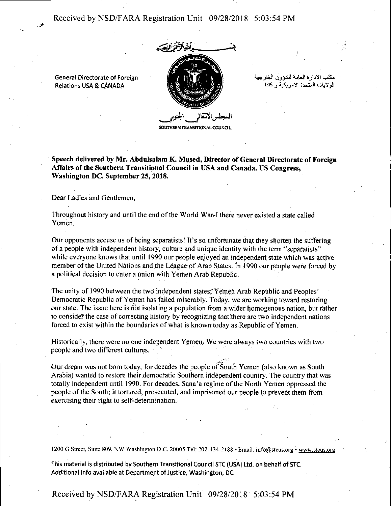Received by NSD/F ARA Registration Unit 09/28/2018 5:03:54 PM



**SOUTHERN TRANSITIONAL COUNCIL** 

مكتب الإدار ة العامة للشوون الخارجية الو لابات المتحدة الامر بكبة و كنداً

· **Speech delivered by Mr. Abdulsalam K. Mused, Director of General Directorate of Foreign**  Affairs of the Southern Transitional Council in USA and Canada. US Congress, **Washington DC. September 25, 2018.** 

Dear Ladies and Gentlemen,

General Directorate of Foreign Relations USA & CANADA

Throughout history and until the end of the World Wat-I there never existed a state called Yemen.

Our opponents accuse us of being separatists! It's so unfortunate that they shorten the suffering of a people with independent history, culture and unique identity with.the term "separatists" while everyone knows that until 1990 our people enjoyed an independent state which was active member of the United Nations and the League of Arab States. In 1990 our people were forced by a political decision to enter a union with Yemen Arab Republic.

The unity of 1990 between the two independent states; Yemen Arab Republic and Peoples' Democratic Republic of Yemen has failed miserably. Tod\_ay, we are working toward restoring our state. The issue here is not isolating a population from a wider homogenous nation, but rather to consider the case of correcting history by recognizing that there are two independent nations forced to exist within the boundaries of what is known today as Republic of Yemen.

Historically, there were no one independent Yemen. We were always two countries with two people and two different cultures.

Our dream was not born today, for decades the people of South Yemen (also known as South Arabia) wanted to restore their democratic Southern independent country. The country that was totally independent until 1990. For decades, Sana'a regime of the North Yemen oppressed the people of the South; it tortured., prosecuted, and imprisoned our people to prevent them from exercising their right to self-determination.

1200 G Street, Suite 809, NW Washington D.C. 20005 Tel: 202-434-2188 • Email: info@stcus.org • www.stcus.org

This material is distributed by Southern Transitional Council STC (USA) Ltd. on behalf of STC. Additional info available at Department of Justice, Washington, DC.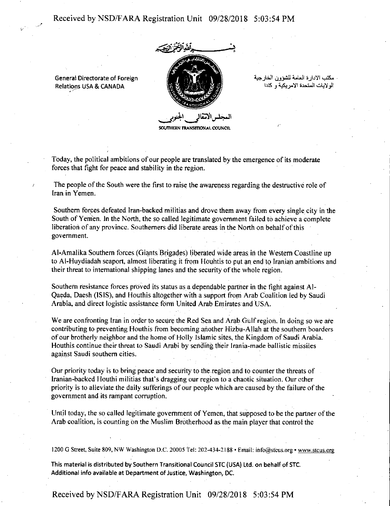## Received by NSD/F ARA Registration Unit 09/28/2018 5:03:54 PM



. مكتب الادارة العامة للشوون الخارجية<br>الولايات المتحدة الامريكية و كندا

General Directorate of Foreign Relations USA & CANADA

**SOUTHERN TRANSITIONAL COUNCIL** 

Today, the political ambitions of our people are translated by the emergence of its moderate forces that fight for peace and stability in the region.

The people of the South were the first to raise the awareness regarding the destructive role of Iran in Yemen.

Southern forces defeated Iran-backed militias and drove them away from every single city in the South of Yemen. In the North, the so called legitimate government failed to achieve a complete liberation of any province. Southerners did liberate areas in the North on behalf of this government.

AI-Amalika Southern forces (Giants Brigades) liberated wide areas in the Western Coastline up to Al-Huydiadah seaport, almost liberating it from Houhtis to put an end to Iranian ambitions and their threat to international shipping lanes and the security of the whole region.

Southern resistance forces proved its status as a dependable partner in the fight against Al-Qaeda, Daesh (ISIS), and Houthis altogether with a support from Arab Coalition led by Saudi Arabia, and direct logistic assistance form United Arab Emirates and USA.

We are confronting Iran in order to secure the Red Sea and Arab Gulf region. In doing so we are contributing to preventing Houthis from becoming another Hizbu-Allah at the southern boarders of our brotherly neighbor and the home of Holly Islamic sites, the Kingdom of Saudi Arabia. Houthis continue their threat to Saudi Arabi by sending their lrania-made ballistic missiles against Saudi southern cities.

Our priority today is to bring peace and security to the.region and to counter the threats of Iranian-backed Houthi militias that's dragging our region to a chaotic situation. Our other priority is to alleviate the daily sufferings of our people which are caused by the failure of the government and its rampant corruption.

Until today, the so called legitimate government of Yemen, that supposed to be the partner of the Arab coalition, is counting on the Muslim Brotherhood as the main player that control the

1200 G Street, Suite 809, NW Washington D.C. 20005 tel: 202-434-2188 • Email: info@stcus.org • www.stcus.org

This material is distributed by Southern Transitional Council STC (USA) Ltd. on behalf of STC. Additional info available at Department of Justice, Washington, DC.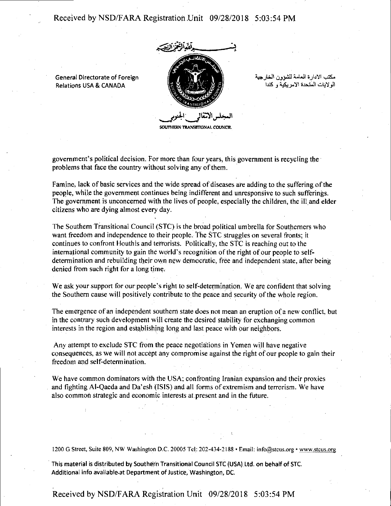Received by NSD/FARA Registration Unit 09/28/2018 5:03:54 PM

General Directorate of Foreign Relations USA & CANADA



مكتب الإدار ة العامة للشوون الخارجية الو لاتات المتحدة الأمر بكية و كندا

**SOUTHERN TRANSITIONAL COUNCIL** 

government's political decision. For more than four years, this government is recycling the problems that face the country without solving any of them.

Famine, lack of basic services and the wide spread of diseases are adding to the suffering of the people, while the government continues being indifferent and unresponsive to such sufferings. The government is unconcerned with the lives of people, especially the children, the ill and elder citizens who are dying almost every day.

The Southern Transitional Council (STC) is the broad political umbrella for Southerners who want freedom and independence to their people. The STC struggles on several fronts; it continues to confront Houthis and terrorists. Politically, the STC is reaching out to the international community to gain the world's recognition of the right of our people to selfdetermination and rebuilding their own new democratic, free and independent state, after being denied from such right for a long time.

We ask your support for our people's right to self-determination. We are confident that solving the Southern cause will positively contribute to the peace and security of the whole region.

The emergence of an independent southern state does not mean an eruption of a new conflict, but in the contrary such development will create the desired stability for exchanging common interests in the region and establishing long and last peace with our neighbors.

Any attempt to exclude STC from the peace negotiations in Yemen will have negative consequences, as we will not accept any compromise against the right of our people to gain their freedom and self-determination.

We have common dominators with the USA; confronting Iranian expansion and their proxies and fighting Al-Qaeda and Da'esh (ISIS) and all forms of extremism and terrorism. We have also common strategic and economic interests at .present and in the future.

1200 G Street, Suite 809, NW Washington D.C. 20005 Tel.: 202-434-2188 • Email: info@stcus.org • www.stcus.org

This material is distributed by Southern Transitional Council STC (USA) Ltd. on behalf of STC. Additional info available at Department of Justice, Washington, DC.